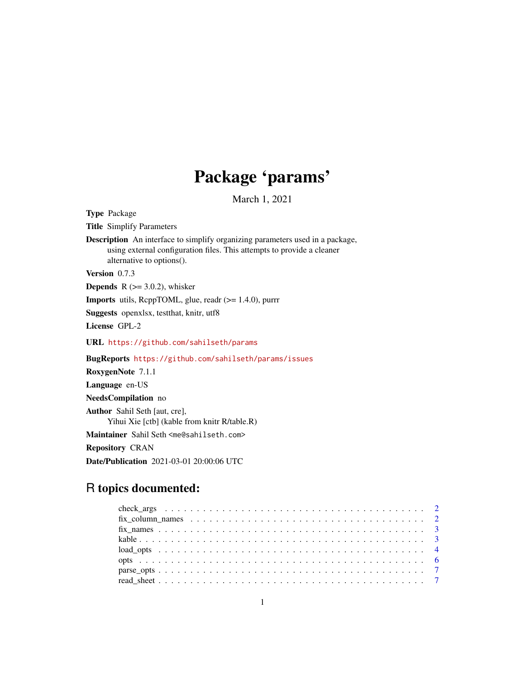## Package 'params'

March 1, 2021

<span id="page-0-0"></span>Type Package Title Simplify Parameters Description An interface to simplify organizing parameters used in a package, using external configuration files. This attempts to provide a cleaner alternative to options(). Version 0.7.3 **Depends** R  $(>= 3.0.2)$ , whisker **Imports** utils,  $\text{ReppTOML}$ , glue, readr ( $>= 1.4.0$ ), purrr Suggests openxlsx, testthat, knitr, utf8 License GPL-2 URL <https://github.com/sahilseth/params> BugReports <https://github.com/sahilseth/params/issues> RoxygenNote 7.1.1 Language en-US NeedsCompilation no Author Sahil Seth [aut, cre],

Yihui Xie [ctb] (kable from knitr R/table.R)

Maintainer Sahil Seth <me@sahilseth.com>

Repository CRAN

Date/Publication 2021-03-01 20:00:06 UTC

### R topics documented: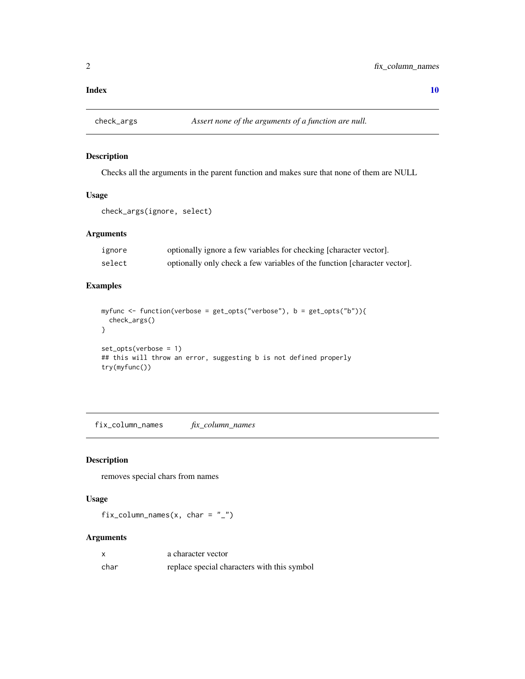#### <span id="page-1-0"></span> $\blacksquare$

#### Description

Checks all the arguments in the parent function and makes sure that none of them are NULL

#### Usage

```
check_args(ignore, select)
```
#### Arguments

| ignore | optionally ignore a few variables for checking [character vector].        |
|--------|---------------------------------------------------------------------------|
| select | optionally only check a few variables of the function [character vector]. |

#### Examples

```
myfunc <- function(verbose = get_opts("verbose"), b = get_opts("b")){
  check_args()
}
set_opts(verbose = 1)
## this will throw an error, suggesting b is not defined properly
try(myfunc())
```
fix\_column\_names *fix\_column\_names*

#### Description

removes special chars from names

#### Usage

fix\_column\_names(x, char =  $"$ \_")

#### Arguments

| x    | a character vector                          |
|------|---------------------------------------------|
| char | replace special characters with this symbol |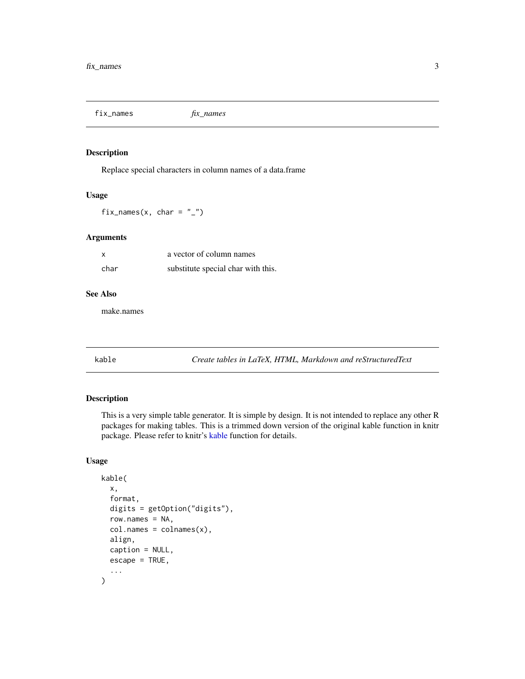<span id="page-2-0"></span>fix\_names *fix\_names*

#### Description

Replace special characters in column names of a data.frame

#### Usage

fix\_names(x, char =  $"$ \_")

#### Arguments

| x    | a vector of column names           |
|------|------------------------------------|
| char | substitute special char with this. |

#### See Also

make.names

<span id="page-2-1"></span>kable *Create tables in LaTeX, HTML, Markdown and reStructuredText*

#### Description

This is a very simple table generator. It is simple by design. It is not intended to replace any other R packages for making tables. This is a trimmed down version of the original kable function in knitr package. Please refer to knitr's [kable](#page-2-1) function for details.

#### Usage

```
kable(
  x,
  format,
  digits = getOption("digits"),
  row.names = NA,
  col.names = colnames(x),
  align,
  caption = NULL,
  escape = TRUE,
  ...
\mathcal{E}
```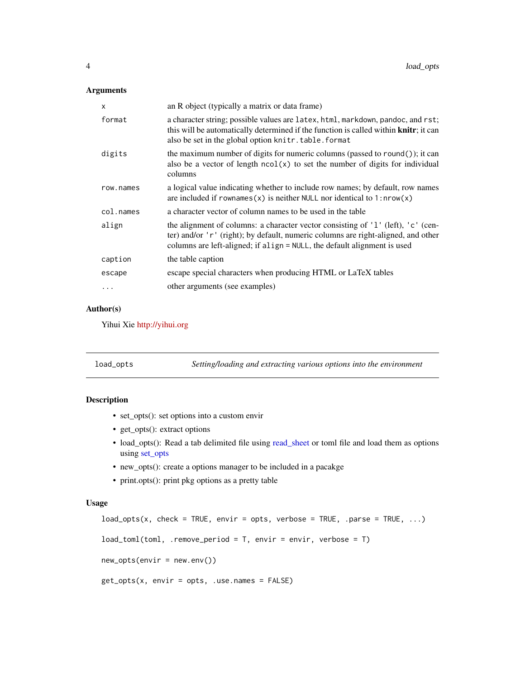#### <span id="page-3-0"></span>Arguments

| x          | an R object (typically a matrix or data frame)                                                                                                                                                                                                    |
|------------|---------------------------------------------------------------------------------------------------------------------------------------------------------------------------------------------------------------------------------------------------|
| format     | a character string; possible values are latex, html, markdown, pandoc, and rst;<br>this will be automatically determined if the function is called within knitr; it can<br>also be set in the global option knitr.table.format                    |
| digits     | the maximum number of digits for numeric columns (passed to round()); it can<br>also be a vector of length $ncol(x)$ to set the number of digits for individual<br>columns                                                                        |
| row.names  | a logical value indicating whether to include row names; by default, row names<br>are included if rownames(x) is neither NULL nor identical to $1: nrow(x)$                                                                                       |
| col.names  | a character vector of column names to be used in the table                                                                                                                                                                                        |
| align      | the alignment of columns: a character vector consisting of '1' (left), 'c' (cen-<br>ter) and/or 'r' (right); by default, numeric columns are right-aligned, and other<br>columns are left-aligned; if align = NULL, the default alignment is used |
| caption    | the table caption                                                                                                                                                                                                                                 |
| escape     | escape special characters when producing HTML or LaTeX tables                                                                                                                                                                                     |
| $\ddots$ . | other arguments (see examples)                                                                                                                                                                                                                    |

#### Author(s)

Yihui Xie <http://yihui.org>

<span id="page-3-2"></span>

| load_opts | Setting/loading and extracting various options into the environment |
|-----------|---------------------------------------------------------------------|
|           |                                                                     |

#### <span id="page-3-1"></span>Description

- set\_opts(): set options into a custom envir
- get\_opts(): extract options
- load\_opts(): Read a tab delimited file using [read\\_sheet](#page-6-1) or toml file and load them as options using [set\\_opts](#page-3-1)
- new\_opts(): create a options manager to be included in a pacakge
- print.opts(): print pkg options as a pretty table

#### Usage

```
load\_opts(x, check = TRUE, envir = opts, verbose = TRUE, .parse = TRUE, ...)load_toml(toml, .remove_period = T, envir = envir, verbose = T)
new_opts(envir = new.env())
get_opts(x, envir = opts, .use.names = FALSE)
```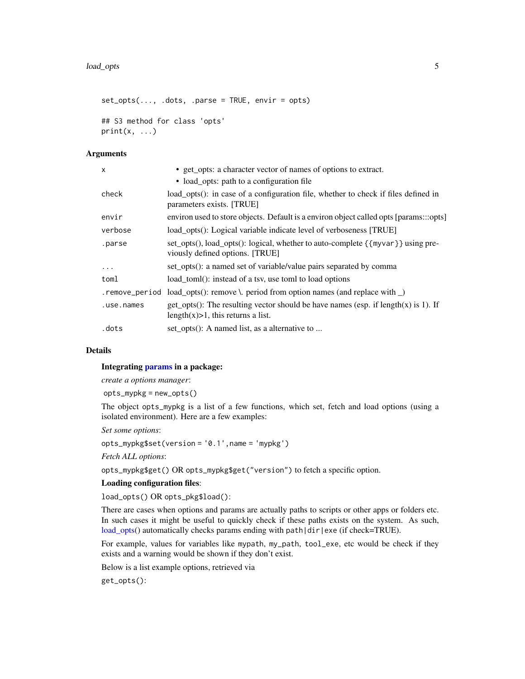```
set\_opts(..., .dots, .) . exists, .parse = TRUE, envir = opts)## S3 method for class 'opts'
print(x, \ldots)
```
#### Arguments

| $\mathsf{x}$   | • get_opts: a character vector of names of options to extract.                                                              |
|----------------|-----------------------------------------------------------------------------------------------------------------------------|
|                | • load_opts: path to a configuration file                                                                                   |
| check          | load_opts(): in case of a configuration file, whether to check if files defined in<br>parameters exists. [TRUE]             |
| envir          | environ used to store objects. Default is a environ object called opts [params:::opts]                                      |
| verbose        | load_opts(): Logical variable indicate level of verboseness [TRUE]                                                          |
| .parse         | set_opts(), load_opts(): logical, whether to auto-complete {{myvar}} using pre-<br>viously defined options. [TRUE]          |
| .              | set_opts(): a named set of variable/value pairs separated by comma                                                          |
| toml           | load_toml(): instead of a tsv, use toml to load options                                                                     |
| .remove_period | load_opts(): remove \. period from option names (and replace with $\Box$ )                                                  |
| .use.names     | get_opts(): The resulting vector should be have names (esp. if length(x) is 1). If<br>length $(x)$ >1, this returns a list. |
| .dots          | set_opts(): A named list, as a alternative to                                                                               |

#### Details

#### Integrating [params](#page-3-1) in a package:

*create a options manager*:

opts\_mypkg = new\_opts()

The object opts\_mypkg is a list of a few functions, which set, fetch and load options (using a isolated environment). Here are a few examples:

*Set some options*:

opts\_mypkg\$set(version = '0.1',name = 'mypkg')

*Fetch ALL options*:

opts\_mypkg\$get() OR opts\_mypkg\$get("version") to fetch a specific option.

#### Loading configuration files:

load\_opts() OR opts\_pkg\$load():

There are cases when options and params are actually paths to scripts or other apps or folders etc. In such cases it might be useful to quickly check if these paths exists on the system. As such, [load\\_opts\(](#page-3-2)) automatically checks params ending with path|dir|exe (if check=TRUE).

For example, values for variables like mypath, my\_path, tool\_exe, etc would be check if they exists and a warning would be shown if they don't exist.

Below is a list example options, retrieved via

get\_opts():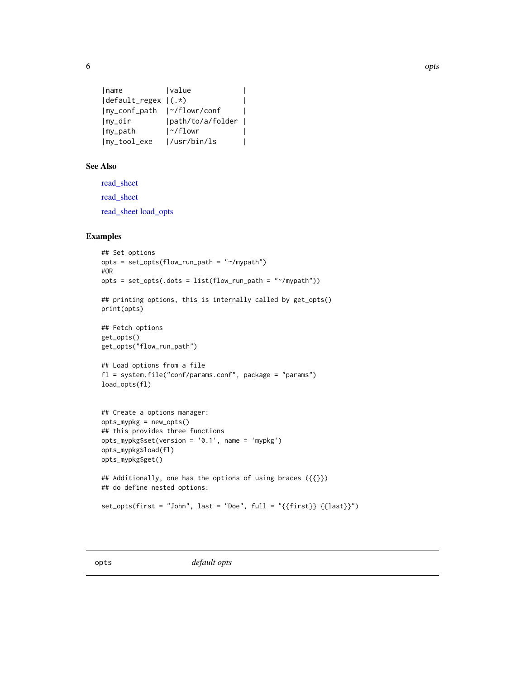<span id="page-5-0"></span>

```
| name | value | V
|default_regex |(.*) |
|my_conf_path |~/flowr/conf |
|my_dir |path/to/a/folder |
|my_path |~/flowr |
|my_tool_exe |/usr/bin/ls |
```
#### See Also

[read\\_sheet](#page-6-1) [read\\_sheet](#page-6-1) [read\\_sheet](#page-6-1) [load\\_opts](#page-3-2)

#### Examples

```
## Set options
opts = set_opts(flow_run_path = "~/mypath")
#OR
opts = set\_opts(.dots = list(float.run\_path = "~/mypath"))## printing options, this is internally called by get_opts()
print(opts)
## Fetch options
get_opts()
get_opts("flow_run_path")
## Load options from a file
fl = system.file("conf/params.conf", package = "params")
load_opts(fl)
## Create a options manager:
opts_mypkg = new_opts()
## this provides three functions
opts_mypkg$set(version = '0.1', name = 'mypkg')
opts_mypkg$load(fl)
opts_mypkg$get()
## Additionally, one has the options of using braces ({{}})
## do define nested options:
set_opts(first = "John", last = "Doe", full = "{{first}} {{last}}")
```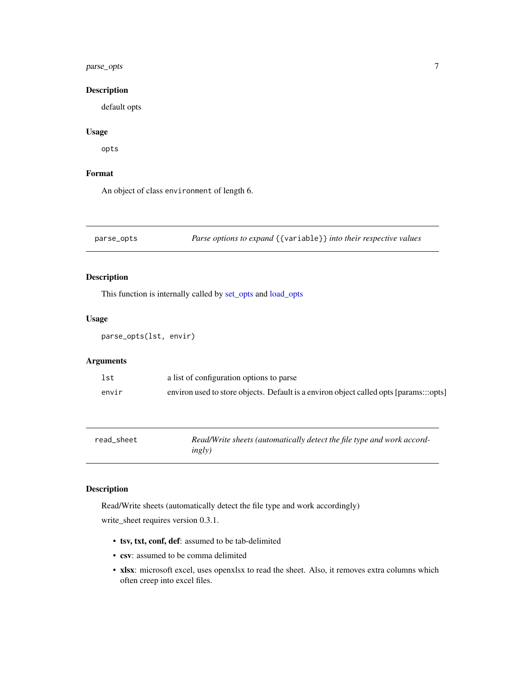#### <span id="page-6-0"></span>parse\_opts 7

#### Description

default opts

#### Usage

opts

#### Format

An object of class environment of length 6.

parse\_opts *Parse options to expand* {{variable}} *into their respective values*

#### Description

This function is internally called by [set\\_opts](#page-3-1) and [load\\_opts](#page-3-2)

#### Usage

```
parse_opts(lst, envir)
```
#### Arguments

| lst   | a list of configuration options to parse                                               |
|-------|----------------------------------------------------------------------------------------|
| envir | environ used to store objects. Default is a environ object called opts [params:::opts] |

<span id="page-6-1"></span>

| read sheet | Read/Write sheets (automatically detect the file type and work accord- |
|------------|------------------------------------------------------------------------|
|            | ingly)                                                                 |

#### Description

Read/Write sheets (automatically detect the file type and work accordingly) write\_sheet requires version 0.3.1.

- tsv, txt, conf, def: assumed to be tab-delimited
- csv: assumed to be comma delimited
- xlsx: microsoft excel, uses openxlsx to read the sheet. Also, it removes extra columns which often creep into excel files.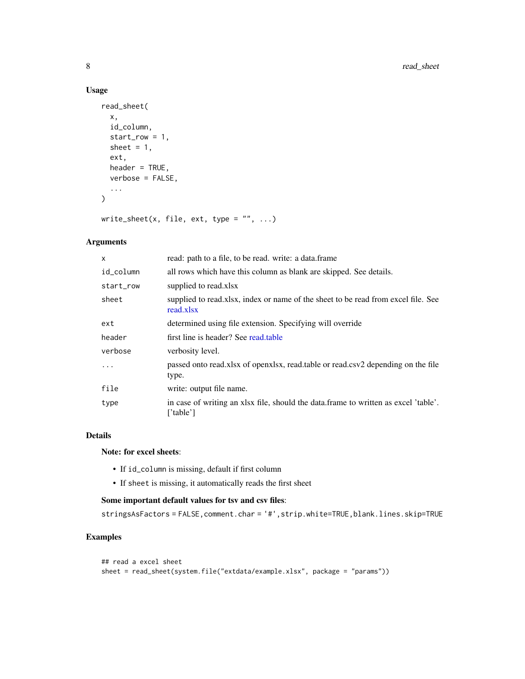#### Usage

```
read_sheet(
  x,
  id_column,
  start_row = 1,
  sheet = 1,
  ext,
  header = TRUE,
  verbose = FALSE,
  ...
\mathcal{L}
```
write\_sheet(x, file, ext, type =  $"$ , ...)

#### Arguments

| x         | read: path to a file, to be read. write: a data.frame                                            |
|-----------|--------------------------------------------------------------------------------------------------|
| id_column | all rows which have this column as blank are skipped. See details.                               |
| start_row | supplied to read.xlsx                                                                            |
| sheet     | supplied to read.xlsx, index or name of the sheet to be read from excel file. See<br>read.xlsx   |
| ext       | determined using file extension. Specifying will override                                        |
| header    | first line is header? See read.table                                                             |
| verbose   | verbosity level.                                                                                 |
| $\cdot$   | passed onto read.xlsx of openxlsx, read.table or read.csv2 depending on the file<br>type.        |
| file      | write: output file name.                                                                         |
| type      | in case of writing an xlsx file, should the data frame to written as excel 'table'.<br>['table'] |

#### Details

#### Note: for excel sheets:

- If id\_column is missing, default if first column
- If sheet is missing, it automatically reads the first sheet

#### Some important default values for tsv and csv files:

stringsAsFactors = FALSE,comment.char = '#',strip.white=TRUE,blank.lines.skip=TRUE

#### Examples

```
## read a excel sheet
sheet = read_sheet(system.file("extdata/example.xlsx", package = "params"))
```
<span id="page-7-0"></span>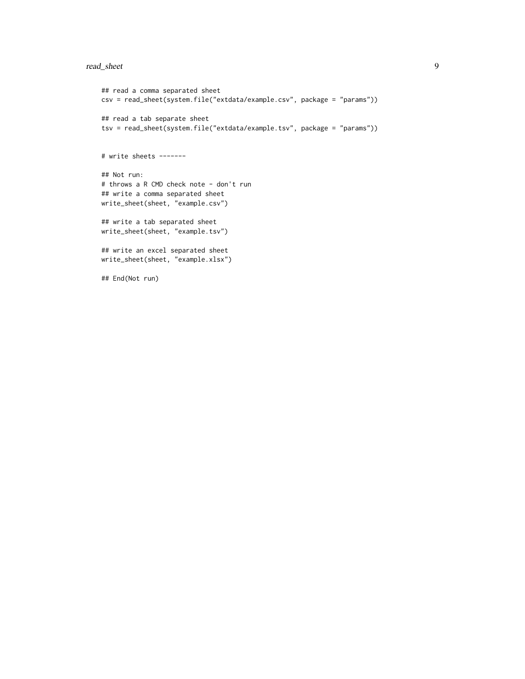#### read\_sheet 9

```
## read a comma separated sheet
csv = read_sheet(system.file("extdata/example.csv", package = "params"))
## read a tab separate sheet
tsv = read_sheet(system.file("extdata/example.tsv", package = "params"))
# write sheets -------
## Not run:
# throws a R CMD check note - don't run
## write a comma separated sheet
write_sheet(sheet, "example.csv")
## write a tab separated sheet
write_sheet(sheet, "example.tsv")
## write an excel separated sheet
write_sheet(sheet, "example.xlsx")
## End(Not run)
```